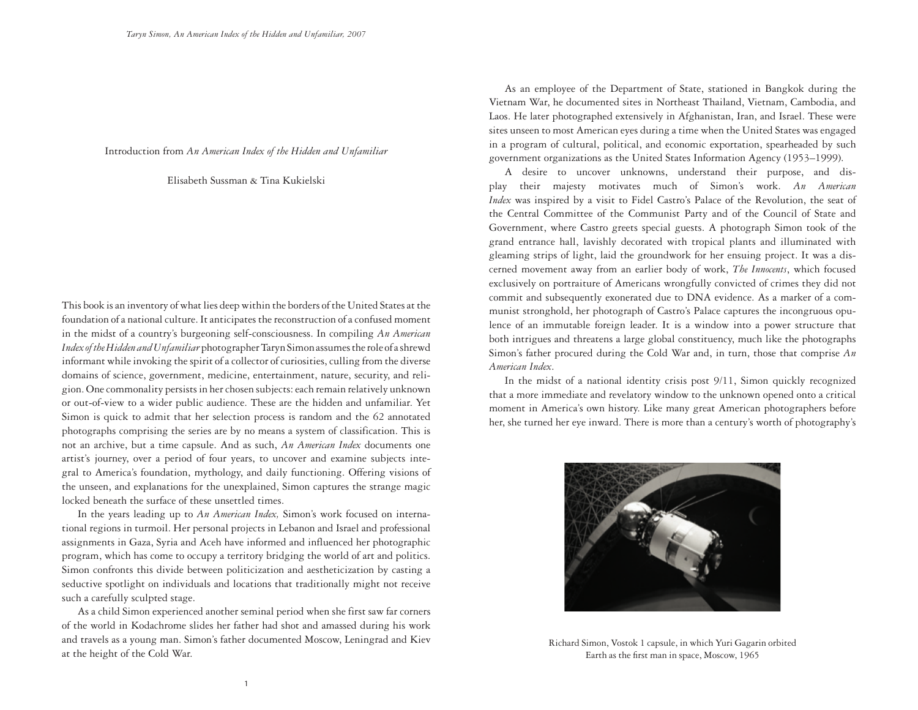Introduction from *An American Index of the Hidden and Unfamiliar*

Elisabeth Sussman & Tina Kukielski

This book is an inventory of what lies deep within the borders of the United States at the foundation of a national culture. It anticipates the reconstruction of a confused moment in the midst of a country's burgeoning self-consciousness. In compiling *An American Index of the Hidden and Unfamiliar* photographer Taryn Simon assumes the role of a shrewd informant while invoking the spirit of a collector of curiosities, culling from the diverse domains of science, government, medicine, entertainment, nature, security, and religion. One commonality persists in her chosen subjects: each remain relatively unknown or out-of-view to a wider public audience. These are the hidden and unfamiliar. Yet Simon is quick to admit that her selection process is random and the 62 annotated photographs comprising the series are by no means a system of classification. This is not an archive, but a time capsule. And as such, *An American Index* documents one artist's journey, over a period of four years, to uncover and examine subjects integral to America's foundation, mythology, and daily functioning. Offering visions of the unseen, and explanations for the unexplained, Simon captures the strange magic locked beneath the surface of these unsettled times.

In the years leading up to *An American Index,* Simon's work focused on international regions in turmoil. Her personal projects in Lebanon and Israel and professional assignments in Gaza, Syria and Aceh have informed and influenced her photographic program, which has come to occupy a territory bridging the world of art and politics. Simon confronts this divide between politicization and aestheticization by casting a seductive spotlight on individuals and locations that traditionally might not receive such a carefully sculpted stage.

As a child Simon experienced another seminal period when she first saw far corners of the world in Kodachrome slides her father had shot and amassed during his work and travels as a young man. Simon's father documented Moscow, Leningrad and Kiev at the height of the Cold War.

As an employee of the Department of State, stationed in Bangkok during the Vietnam War, he documented sites in Northeast Thailand, Vietnam, Cambodia, and Laos. He later photographed extensively in Afghanistan, Iran, and Israel. These were sites unseen to most American eyes during a time when the United States was engaged in a program of cultural, political, and economic exportation, spearheaded by such government organizations as the United States Information Agency (1953–1999).

A desire to uncover unknowns, understand their purpose, and display their majesty motivates much of Simon's work. *An American Index* was inspired by a visit to Fidel Castro's Palace of the Revolution, the seat of the Central Committee of the Communist Party and of the Council of State and Government, where Castro greets special guests. A photograph Simon took of the grand entrance hall, lavishly decorated with tropical plants and illuminated with gleaming strips of light, laid the groundwork for her ensuing project. It was a discerned movement away from an earlier body of work, *The Innocents*, which focused exclusively on portraiture of Americans wrongfully convicted of crimes they did not commit and subsequently exonerated due to DNA evidence. As a marker of a communist stronghold, her photograph of Castro's Palace captures the incongruous opulence of an immutable foreign leader. It is a window into a power structure that both intrigues and threatens a large global constituency, much like the photographs Simon's father procured during the Cold War and, in turn, those that comprise *An American Index*.

In the midst of a national identity crisis post 9/11, Simon quickly recognized that a more immediate and revelatory window to the unknown opened onto a critical moment in America's own history. Like many great American photographers before her, she turned her eye inward. There is more than a century's worth of photography's



Richard Simon, Vostok 1 capsule, in which Yuri Gagarin orbited Earth as the first man in space, Moscow, 1965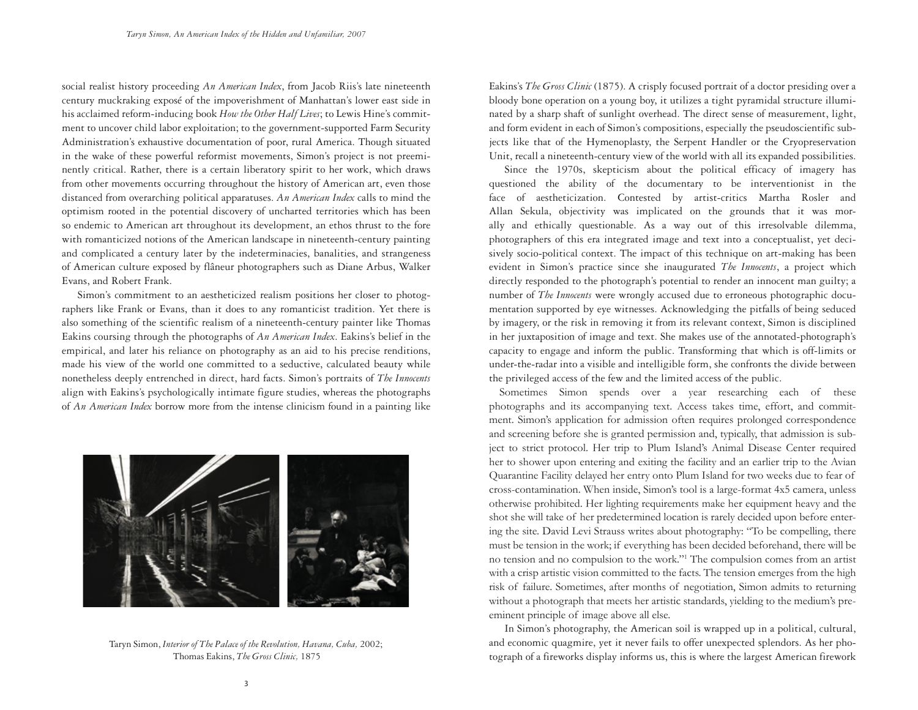social realist history proceeding *An American Index*, from Jacob Riis's late nineteenth century muckraking exposé of the impoverishment of Manhattan's lower east side in his acclaimed reform-inducing book *How the Other Half Lives*; to Lewis Hine's commitment to uncover child labor exploitation; to the government-supported Farm Security Administration's exhaustive documentation of poor, rural America. Though situated in the wake of these powerful reformist movements, Simon's project is not preeminently critical. Rather, there is a certain liberatory spirit to her work, which draws from other movements occurring throughout the history of American art, even those distanced from overarching political apparatuses. *An American Index* calls to mind the optimism rooted in the potential discovery of uncharted territories which has been so endemic to American art throughout its development, an ethos thrust to the fore with romanticized notions of the American landscape in nineteenth-century painting and complicated a century later by the indeterminacies, banalities, and strangeness of American culture exposed by flâneur photographers such as Diane Arbus, Walker Evans, and Robert Frank.

Simon's commitment to an aestheticized realism positions her closer to photographers like Frank or Evans, than it does to any romanticist tradition. Yet there is also something of the scientific realism of a nineteenth-century painter like Thomas Eakins coursing through the photographs of *An American Index*. Eakins's belief in the empirical, and later his reliance on photography as an aid to his precise renditions, made his view of the world one committed to a seductive, calculated beauty while nonetheless deeply entrenched in direct, hard facts. Simon's portraits of *The Innocents* align with Eakins's psychologically intimate figure studies, whereas the photographs of *An American Index* borrow more from the intense clinicism found in a painting like



Taryn Simon, *Interior of The Palace of the Revolution, Havana, Cuba,* 2002; Thomas Eakins, *The Gross Clinic,* 1875

Eakins's *The Gross Clinic* (1875). A crisply focused portrait of a doctor presiding over a bloody bone operation on a young boy, it utilizes a tight pyramidal structure illuminated by a sharp shaft of sunlight overhead. The direct sense of measurement, light, and form evident in each of Simon's compositions, especially the pseudoscientific subjects like that of the Hymenoplasty, the Serpent Handler or the Cryopreservation Unit, recall a nineteenth-century view of the world with all its expanded possibilities.

Since the 1970s, skepticism about the political efficacy of imagery has questioned the ability of the documentary to be interventionist in the face of aestheticization. Contested by artist-critics Martha Rosler and Allan Sekula, objectivity was implicated on the grounds that it was morally and ethically questionable. As a way out of this irresolvable dilemma, photographers of this era integrated image and text into a conceptualist, yet decisively socio-political context. The impact of this technique on art-making has been evident in Simon's practice since she inaugurated *The Innocents*, a project which directly responded to the photograph's potential to render an innocent man guilty; a number of *The Innocents* were wrongly accused due to erroneous photographic documentation supported by eye witnesses. Acknowledging the pitfalls of being seduced by imagery, or the risk in removing it from its relevant context, Simon is disciplined in her juxtaposition of image and text. She makes use of the annotated-photograph's capacity to engage and inform the public. Transforming that which is off-limits or under-the-radar into a visible and intelligible form, she confronts the divide between the privileged access of the few and the limited access of the public.

Sometimes Simon spends over a year researching each of these photographs and its accompanying text. Access takes time, effort, and commitment. Simon's application for admission often requires prolonged correspondence and screening before she is granted permission and, typically, that admission is subject to strict protocol. Her trip to Plum Island's Animal Disease Center required her to shower upon entering and exiting the facility and an earlier trip to the Avian Quarantine Facility delayed her entry onto Plum Island for two weeks due to fear of cross-contamination. When inside, Simon's tool is a large-format 4x5 camera, unless otherwise prohibited. Her lighting requirements make her equipment heavy and the shot she will take of her predetermined location is rarely decided upon before entering the site. David Levi Strauss writes about photography: "To be compelling, there must be tension in the work; if everything has been decided beforehand, there will be no tension and no compulsion to the work."1 The compulsion comes from an artist with a crisp artistic vision committed to the facts. The tension emerges from the high risk of failure. Sometimes, after months of negotiation, Simon admits to returning without a photograph that meets her artistic standards, yielding to the medium's preeminent principle of image above all else.

In Simon's photography, the American soil is wrapped up in a political, cultural, and economic quagmire, yet it never fails to offer unexpected splendors. As her photograph of a fireworks display informs us, this is where the largest American firework